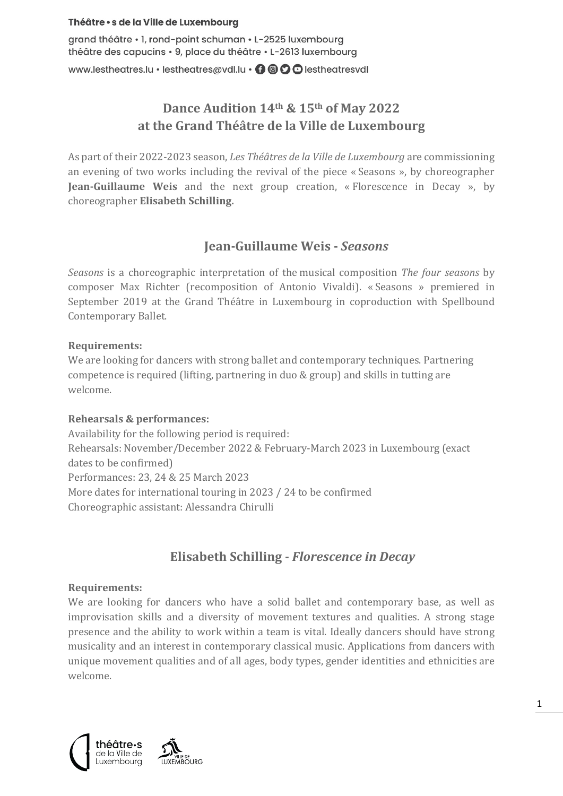### Théâtre · s de la Ville de Luxembourg

grand théâtre • 1, rond-point schuman • L-2525 luxembourg théâtre des capucins · 9, place du théâtre · L-2613 luxembourg

www.lestheatres.lu • lestheatres@vdl.lu • 0 0 0 lestheatresvdl

# **Dance Audition 14th & 15th of May 2022 at the Grand Théâtre de la Ville de Luxembourg**

As part of their 2022-2023 season, *Les Théâtres de la Ville de Luxembourg* are commissioning an evening of two works including the revival of the piece « Seasons », by choreographer **Jean-Guillaume Weis** and the next group creation, « Florescence in Decay », by choreographer **Elisabeth Schilling.** 

# **Jean-Guillaume Weis -** *Seasons*

*Seasons* is a choreographic interpretation of the musical composition *The four seasons* by composer Max Richter (recomposition of Antonio Vivaldi). « Seasons » premiered in September 2019 at the Grand Théâtre in Luxembourg in coproduction with Spellbound Contemporary Ballet.

# **Requirements:**

We are looking for dancers with strong ballet and contemporary techniques. Partnering competence is required (lifting, partnering in duo & group) and skills in tutting are welcome.

# **Rehearsals & performances:**

Availability for the following period is required: Rehearsals: November/December 2022 & February-March 2023 in Luxembourg (exact dates to be confirmed) Performances: 23, 24 & 25 March 2023 More dates for international touring in 2023 / 24 to be confirmed Choreographic assistant: Alessandra Chirulli

# **Elisabeth Schilling -** *Florescence in Decay*

# **Requirements:**

We are looking for dancers who have a solid ballet and contemporary base, as well as improvisation skills and a diversity of movement textures and qualities. A strong stage presence and the ability to work within a team is vital. Ideally dancers should have strong musicality and an interest in contemporary classical music. Applications from dancers with unique movement qualities and of all ages, body types, gender identities and ethnicities are welcome.